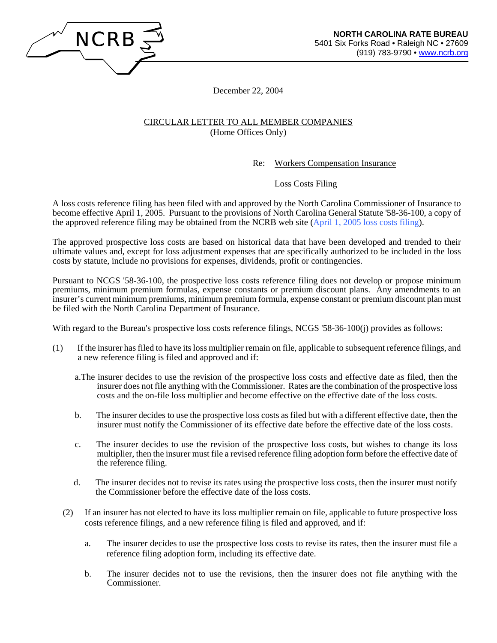

December 22, 2004

## CIRCULAR LETTER TO ALL MEMBER COMPANIES (Home Offices Only)

Re: Workers Compensation Insurance

Loss Costs Filing

A loss costs reference filing has been filed with and approved by the North Carolina Commissioner of Insurance to become effective April 1, 2005. Pursuant to the provisions of North Carolina General Statute '58-36-100, a copy of the approved reference filing may be obtained from the NCRB web site [\(April 1, 2005 loss costs filing\)](http://www.ncrb.org/ncrb/workers%20comp%20services/loss%20costs%20&%20assigned%20risk%20rates/loss%20costs%20and%20assigned%20risk%20rates.htm).

The approved prospective loss costs are based on historical data that have been developed and trended to their ultimate values and, except for loss adjustment expenses that are specifically authorized to be included in the loss costs by statute, include no provisions for expenses, dividends, profit or contingencies.

Pursuant to NCGS '58-36-100, the prospective loss costs reference filing does not develop or propose minimum premiums, minimum premium formulas, expense constants or premium discount plans. Any amendments to an insurer's current minimum premiums, minimum premium formula, expense constant or premium discount plan must be filed with the North Carolina Department of Insurance.

With regard to the Bureau's prospective loss costs reference filings, NCGS '58-36-100(j) provides as follows:

- (1) If the insurer has filed to have its loss multiplier remain on file, applicable to subsequent reference filings, and a new reference filing is filed and approved and if:
	- a. The insurer decides to use the revision of the prospective loss costs and effective date as filed, then the insurer does not file anything with the Commissioner. Rates are the combination of the prospective loss costs and the on-file loss multiplier and become effective on the effective date of the loss costs.
	- b. The insurer decides to use the prospective loss costs as filed but with a different effective date, then the insurer must notify the Commissioner of its effective date before the effective date of the loss costs.
	- c. The insurer decides to use the revision of the prospective loss costs, but wishes to change its loss multiplier, then the insurer must file a revised reference filing adoption form before the effective date of the reference filing.
	- d. The insurer decides not to revise its rates using the prospective loss costs, then the insurer must notify the Commissioner before the effective date of the loss costs.
	- (2) If an insurer has not elected to have its loss multiplier remain on file, applicable to future prospective loss costs reference filings, and a new reference filing is filed and approved, and if:
		- a. The insurer decides to use the prospective loss costs to revise its rates, then the insurer must file a reference filing adoption form, including its effective date.
		- b. The insurer decides not to use the revisions, then the insurer does not file anything with the Commissioner.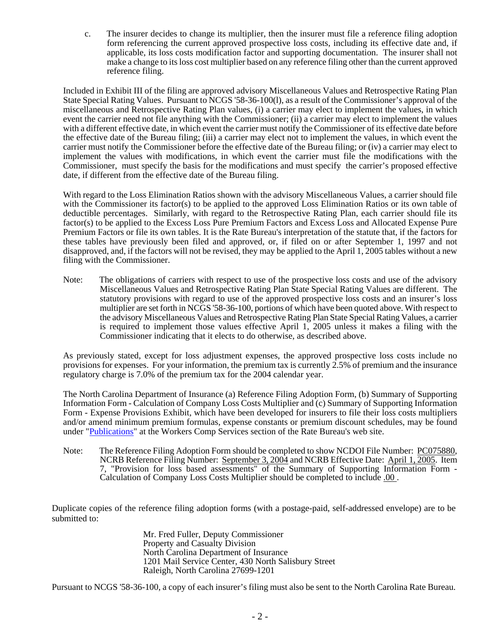c. The insurer decides to change its multiplier, then the insurer must file a reference filing adoption form referencing the current approved prospective loss costs, including its effective date and, if applicable, its loss costs modification factor and supporting documentation. The insurer shall not make a change to its loss cost multiplier based on any reference filing other than the current approved reference filing.

Included in Exhibit III of the filing are approved advisory Miscellaneous Values and Retrospective Rating Plan State Special Rating Values. Pursuant to NCGS '58-36-100(l), as a result of the Commissioner's approval of the miscellaneous and Retrospective Rating Plan values, (i) a carrier may elect to implement the values, in which event the carrier need not file anything with the Commissioner; (ii) a carrier may elect to implement the values with a different effective date, in which event the carrier must notify the Commissioner of its effective date before the effective date of the Bureau filing; (iii) a carrier may elect not to implement the values, in which event the carrier must notify the Commissioner before the effective date of the Bureau filing; or (iv) a carrier may elect to implement the values with modifications, in which event the carrier must file the modifications with the Commissioner, must specify the basis for the modifications and must specify the carrier's proposed effective date, if different from the effective date of the Bureau filing.

With regard to the Loss Elimination Ratios shown with the advisory Miscellaneous Values, a carrier should file with the Commissioner its factor(s) to be applied to the approved Loss Elimination Ratios or its own table of deductible percentages. Similarly, with regard to the Retrospective Rating Plan, each carrier should file its factor(s) to be applied to the Excess Loss Pure Premium Factors and Excess Loss and Allocated Expense Pure Premium Factors or file its own tables. It is the Rate Bureau's interpretation of the statute that, if the factors for these tables have previously been filed and approved, or, if filed on or after September 1, 1997 and not disapproved, and, if the factors will not be revised, they may be applied to the April 1, 2005 tables without a new filing with the Commissioner.

Note: The obligations of carriers with respect to use of the prospective loss costs and use of the advisory Miscellaneous Values and Retrospective Rating Plan State Special Rating Values are different. The statutory provisions with regard to use of the approved prospective loss costs and an insurer's loss multiplier are set forth in NCGS '58-36-100, portions of which have been quoted above. With respect to the advisory Miscellaneous Values and Retrospective Rating Plan State Special Rating Values, a carrier is required to implement those values effective April 1, 2005 unless it makes a filing with the Commissioner indicating that it elects to do otherwise, as described above.

As previously stated, except for loss adjustment expenses, the approved prospective loss costs include no provisions for expenses. For your information, the premium tax is currently 2.5% of premium and the insurance regulatory charge is 7.0% of the premium tax for the 2004 calendar year.

The North Carolina Department of Insurance (a) Reference Filing Adoption Form, (b) Summary of Supporting Information Form - Calculation of Company Loss Costs Multiplier and (c) Summary of Supporting Information Form - Expense Provisions Exhibit, which have been developed for insurers to file their loss costs multipliers and/or amend minimum premium formulas, expense constants or premium discount schedules, may be found under ["Publications](http://www.ncrb.org/ncrb/workers%20comp%20services/workers%20comp%20services.htm)" at the Workers Comp Services section of the Rate Bureau's web site.

Note: The Reference Filing Adoption Form should be completed to show NCDOI File Number: PC075880, NCRB Reference Filing Number: September 3, 2004 and NCRB Effective Date: April 1, 2005. Item 7, "Provision for loss based assessments" of the Summary of Supporting Information Form - Calculation of Company Loss Costs Multiplier should be completed to include .00 .

Duplicate copies of the reference filing adoption forms (with a postage-paid, self-addressed envelope) are to be submitted to:

> Mr. Fred Fuller, Deputy Commissioner Property and Casualty Division North Carolina Department of Insurance 1201 Mail Service Center, 430 North Salisbury Street Raleigh, North Carolina 27699-1201

Pursuant to NCGS '58-36-100, a copy of each insurer's filing must also be sent to the North Carolina Rate Bureau.